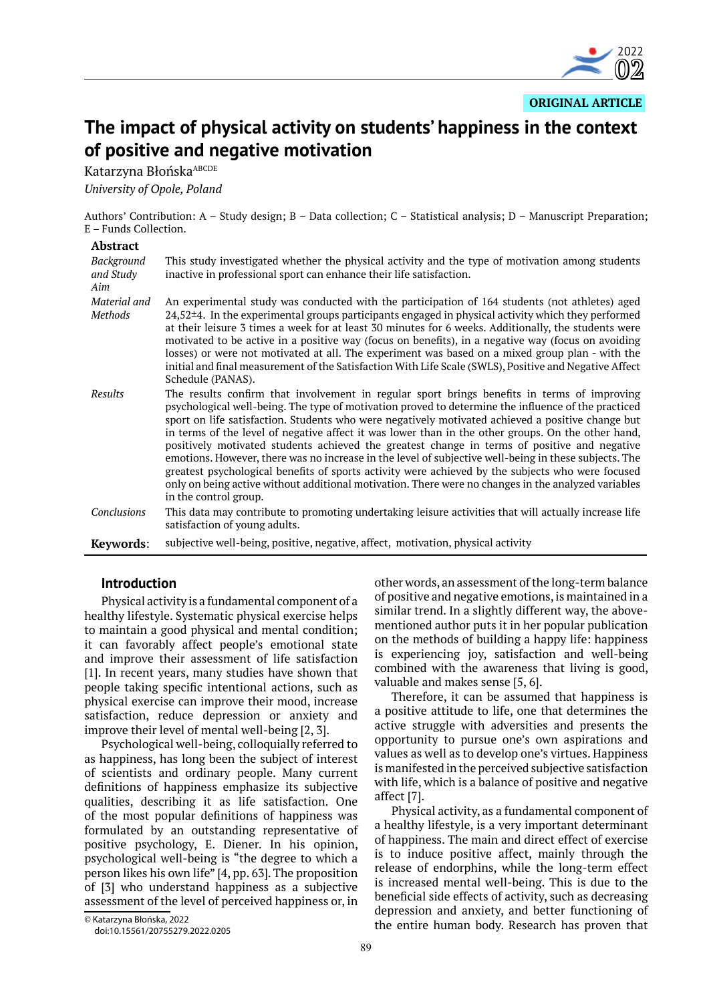

**ORIGINAL ARTICLE**

# **The impact of physical activity on students' happiness in the context of positive and negative motivation**

Katarzyna Błońska<sup>ABCDE</sup>

*University of Opole, Poland*

Authors' Contribution: A – Study design; B – Data collection; C – Statistical analysis; D – Manuscript Preparation; E – Funds Collection.

#### **Abstract**

| Background<br>and Study<br>Aim | This study investigated whether the physical activity and the type of motivation among students<br>inactive in professional sport can enhance their life satisfaction.                                                                                                                                                                                                                                                                                                                                                                                                                                                                                                                                                                                                                                                                                      |
|--------------------------------|-------------------------------------------------------------------------------------------------------------------------------------------------------------------------------------------------------------------------------------------------------------------------------------------------------------------------------------------------------------------------------------------------------------------------------------------------------------------------------------------------------------------------------------------------------------------------------------------------------------------------------------------------------------------------------------------------------------------------------------------------------------------------------------------------------------------------------------------------------------|
| Material and<br>Methods        | An experimental study was conducted with the participation of 164 students (not athletes) aged<br>$24,52±4$ . In the experimental groups participants engaged in physical activity which they performed<br>at their leisure 3 times a week for at least 30 minutes for 6 weeks. Additionally, the students were<br>motivated to be active in a positive way (focus on benefits), in a negative way (focus on avoiding<br>losses) or were not motivated at all. The experiment was based on a mixed group plan - with the<br>initial and final measurement of the Satisfaction With Life Scale (SWLS), Positive and Negative Affect<br>Schedule (PANAS).                                                                                                                                                                                                     |
| Results                        | The results confirm that involvement in regular sport brings benefits in terms of improving<br>psychological well-being. The type of motivation proved to determine the influence of the practiced<br>sport on life satisfaction. Students who were negatively motivated achieved a positive change but<br>in terms of the level of negative affect it was lower than in the other groups. On the other hand,<br>positively motivated students achieved the greatest change in terms of positive and negative<br>emotions. However, there was no increase in the level of subjective well-being in these subjects. The<br>greatest psychological benefits of sports activity were achieved by the subjects who were focused<br>only on being active without additional motivation. There were no changes in the analyzed variables<br>in the control group. |
| Conclusions                    | This data may contribute to promoting undertaking leisure activities that will actually increase life<br>satisfaction of young adults.                                                                                                                                                                                                                                                                                                                                                                                                                                                                                                                                                                                                                                                                                                                      |
| Kevwords:                      | subjective well-being, positive, negative, affect, motivation, physical activity                                                                                                                                                                                                                                                                                                                                                                                                                                                                                                                                                                                                                                                                                                                                                                            |

## **Introduction**

Physical activity is a fundamental component of a healthy lifestyle. Systematic physical exercise helps to maintain a good physical and mental condition; it can favorably affect people's emotional state and improve their assessment of life satisfaction [1]. In recent years, many studies have shown that people taking specific intentional actions, such as physical exercise can improve their mood, increase satisfaction, reduce depression or anxiety and improve their level of mental well-being [2, 3].

Psychological well-being, colloquially referred to as happiness, has long been the subject of interest of scientists and ordinary people. Many current definitions of happiness emphasize its subjective qualities, describing it as life satisfaction. One of the most popular definitions of happiness was formulated by an outstanding representative of positive psychology, E. Diener. In his opinion, psychological well-being is "the degree to which a person likes his own life" [4, pp. 63]. The proposition of [3] who understand happiness as a subjective assessment of the level of perceived happiness or, in

Therefore, it can be assumed that happiness is a positive attitude to life, one that determines the active struggle with adversities and presents the opportunity to pursue one's own aspirations and values as well as to develop one's virtues. Happiness is manifested in the perceived subjective satisfaction with life, which is a balance of positive and negative affect [7].

Physical activity, as a fundamental component of a healthy lifestyle, is a very important determinant of happiness. The main and direct effect of exercise is to induce positive affect, mainly through the release of endorphins, while the long-term effect is increased mental well-being. This is due to the beneficial side effects of activity, such as decreasing depression and anxiety, and better functioning of the entire human body. Research has proven that

other words, an assessment of the long-term balance of positive and negative emotions, is maintained in a similar trend. In a slightly different way, the abovementioned author puts it in her popular publication on the methods of building a happy life: happiness is experiencing joy, satisfaction and well-being combined with the awareness that living is good, valuable and makes sense [5, 6].

<sup>©</sup> Katarzyna Błońska, 2022

doi:10.15561/20755279.2022.0205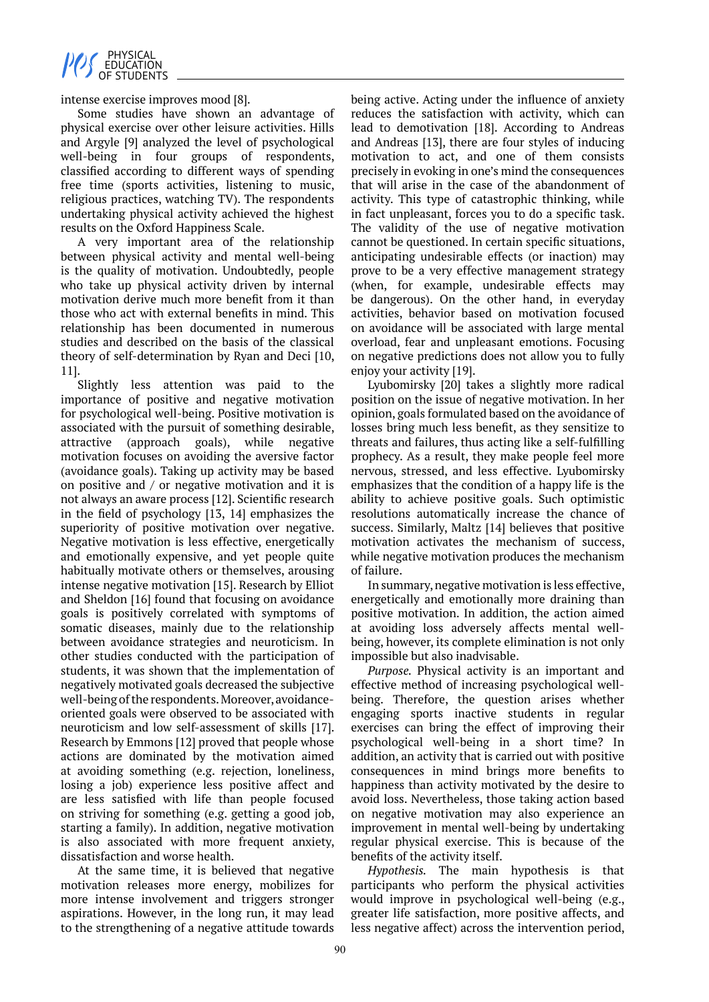

intense exercise improves mood [8].

Some studies have shown an advantage of physical exercise over other leisure activities. Hills and Argyle [9] analyzed the level of psychological well-being in four groups of respondents, classified according to different ways of spending free time (sports activities, listening to music, religious practices, watching TV). The respondents undertaking physical activity achieved the highest results on the Oxford Happiness Scale.

A very important area of the relationship between physical activity and mental well-being is the quality of motivation. Undoubtedly, people who take up physical activity driven by internal motivation derive much more benefit from it than those who act with external benefits in mind. This relationship has been documented in numerous studies and described on the basis of the classical theory of self-determination by Ryan and Deci [10, 11].

Slightly less attention was paid to the importance of positive and negative motivation for psychological well-being. Positive motivation is associated with the pursuit of something desirable, attractive (approach goals), while negative motivation focuses on avoiding the aversive factor (avoidance goals). Taking up activity may be based on positive and / or negative motivation and it is not always an aware process [12]. Scientific research in the field of psychology [13, 14] emphasizes the superiority of positive motivation over negative. Negative motivation is less effective, energetically and emotionally expensive, and yet people quite habitually motivate others or themselves, arousing intense negative motivation [15]. Research by Elliot and Sheldon [16] found that focusing on avoidance goals is positively correlated with symptoms of somatic diseases, mainly due to the relationship between avoidance strategies and neuroticism. In other studies conducted with the participation of students, it was shown that the implementation of negatively motivated goals decreased the subjective well-being of the respondents. Moreover, avoidanceoriented goals were observed to be associated with neuroticism and low self-assessment of skills [17]. Research by Emmons [12] proved that people whose actions are dominated by the motivation aimed at avoiding something (e.g. rejection, loneliness, losing a job) experience less positive affect and are less satisfied with life than people focused on striving for something (e.g. getting a good job, starting a family). In addition, negative motivation is also associated with more frequent anxiety, dissatisfaction and worse health.

At the same time, it is believed that negative motivation releases more energy, mobilizes for more intense involvement and triggers stronger aspirations. However, in the long run, it may lead to the strengthening of a negative attitude towards being active. Acting under the influence of anxiety reduces the satisfaction with activity, which can lead to demotivation [18]. According to Andreas and Andreas [13], there are four styles of inducing motivation to act, and one of them consists precisely in evoking in one's mind the consequences that will arise in the case of the abandonment of activity. This type of catastrophic thinking, while in fact unpleasant, forces you to do a specific task. The validity of the use of negative motivation cannot be questioned. In certain specific situations, anticipating undesirable effects (or inaction) may prove to be a very effective management strategy (when, for example, undesirable effects may be dangerous). On the other hand, in everyday activities, behavior based on motivation focused on avoidance will be associated with large mental overload, fear and unpleasant emotions. Focusing on negative predictions does not allow you to fully enjoy your activity [19].

Lyubomirsky [20] takes a slightly more radical position on the issue of negative motivation. In her opinion, goals formulated based on the avoidance of losses bring much less benefit, as they sensitize to threats and failures, thus acting like a self-fulfilling prophecy. As a result, they make people feel more nervous, stressed, and less effective. Lyubomirsky emphasizes that the condition of a happy life is the ability to achieve positive goals. Such optimistic resolutions automatically increase the chance of success. Similarly, Maltz [14] believes that positive motivation activates the mechanism of success, while negative motivation produces the mechanism of failure.

In summary, negative motivation is less effective, energetically and emotionally more draining than positive motivation. In addition, the action aimed at avoiding loss adversely affects mental wellbeing, however, its complete elimination is not only impossible but also inadvisable.

*Purpose.* Physical activity is an important and effective method of increasing psychological wellbeing. Therefore, the question arises whether engaging sports inactive students in regular exercises can bring the effect of improving their psychological well-being in a short time? In addition, an activity that is carried out with positive consequences in mind brings more benefits to happiness than activity motivated by the desire to avoid loss. Nevertheless, those taking action based on negative motivation may also experience an improvement in mental well-being by undertaking regular physical exercise. This is because of the benefits of the activity itself.

*Hypothesis.* The main hypothesis is that participants who perform the physical activities would improve in psychological well-being (e.g., greater life satisfaction, more positive affects, and less negative affect) across the intervention period,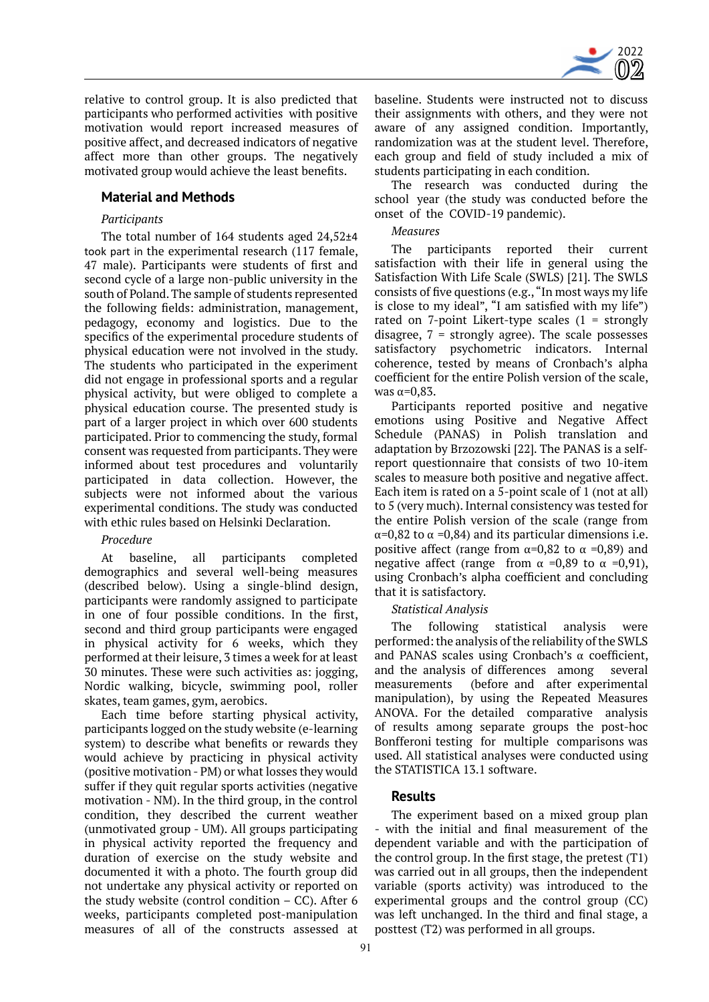

relative to control group. It is also predicted that participants who performed activities with positive motivation would report increased measures of positive affect, and decreased indicators of negative affect more than other groups. The negatively motivated group would achieve the least benefits.

# **Material and Methods**

## *Participants*

The total number of 164 students aged 24,52±4 took part in the experimental research (117 female, 47 male). Participants were students of first and second cycle of a large non-public university in the south of Poland. The sample of students represented the following fields: administration, management, pedagogy, economy and logistics. Due to the specifics of the experimental procedure students of physical education were not involved in the study. The students who participated in the experiment did not engage in professional sports and a regular physical activity, but were obliged to complete a physical education course. The presented study is part of a larger project in which over 600 students participated. Prior to commencing the study, formal consent was requested from participants. They were informed about test procedures and voluntarily participated in data collection. However, the subjects were not informed about the various experimental conditions. The study was conducted with ethic rules based on Helsinki Declaration.

#### *Procedure*

At baseline, all participants completed demographics and several well-being measures (described below). Using a single-blind design, participants were randomly assigned to participate in one of four possible conditions. In the first, second and third group participants were engaged in physical activity for 6 weeks, which they performed at their leisure, 3 times a week for at least 30 minutes. These were such activities as: jogging, Nordic walking, bicycle, swimming pool, roller skates, team games, gym, aerobics.

Each time before starting physical activity, participants logged on the study website (e-learning system) to describe what benefits or rewards they would achieve by practicing in physical activity (positive motivation - PM) or what losses they would suffer if they quit regular sports activities (negative motivation - NM). In the third group, in the control condition, they described the current weather (unmotivated group - UM). All groups participating in physical activity reported the frequency and duration of exercise on the study website and documented it with a photo. The fourth group did not undertake any physical activity or reported on the study website (control condition  $-$  CC). After 6 weeks, participants completed post-manipulation measures of all of the constructs assessed at baseline. Students were instructed not to discuss their assignments with others, and they were not aware of any assigned condition. Importantly, randomization was at the student level. Therefore, each group and field of study included a mix of students participating in each condition.

The research was conducted during the school year (the study was conducted before the onset of the COVID-19 pandemic).

## *Measures*

The participants reported their current satisfaction with their life in general using the Satisfaction With Life Scale (SWLS) [21]. The SWLS consists of five questions (e.g., "In most ways my life is close to my ideal", "I am satisfied with my life") rated on 7-point Likert-type scales  $(1 -$ strongly disagree,  $7$  = strongly agree). The scale possesses satisfactory psychometric indicators. Internal coherence, tested by means of Cronbach's alpha coefficient for the entire Polish version of the scale, was  $\alpha$ =0,83.

Participants reported positive and negative emotions using Positive and Negative Affect Schedule (PANAS) in Polish translation and adaptation by Brzozowski [22]. The PANAS is a selfreport questionnaire that consists of two 10-item scales to measure both positive and negative affect. Each item is rated on a 5-point scale of 1 (not at all) to 5 (very much). Internal consistency was tested for the entire Polish version of the scale (range from  $\alpha$ =0,82 to  $\alpha$  =0,84) and its particular dimensions i.e. positive affect (range from  $\alpha$ =0,82 to  $\alpha$  =0,89) and negative affect (range from  $\alpha = 0.89$  to  $\alpha = 0.91$ ), using Cronbach's alpha coefficient and concluding that it is satisfactory.

## *Statistical Analysis*

The following statistical analysis were performed: the analysis of the reliability of the SWLS and PANAS scales using Cronbach's  $\alpha$  coefficient, and the analysis of differences among several and the analysis of differences among measurements (before and after experimental manipulation), by using the Repeated Measures ANOVA. For the detailed comparative analysis of results among separate groups the post-hoc Bonfferoni testing for multiple comparisons was used. All statistical analyses were conducted using the STATISTICA 13.1 software.

## **Results**

The experiment based on a mixed group plan - with the initial and final measurement of the dependent variable and with the participation of the control group. In the first stage, the pretest (T1) was carried out in all groups, then the independent variable (sports activity) was introduced to the experimental groups and the control group (CC) was left unchanged. In the third and final stage, a posttest (T2) was performed in all groups.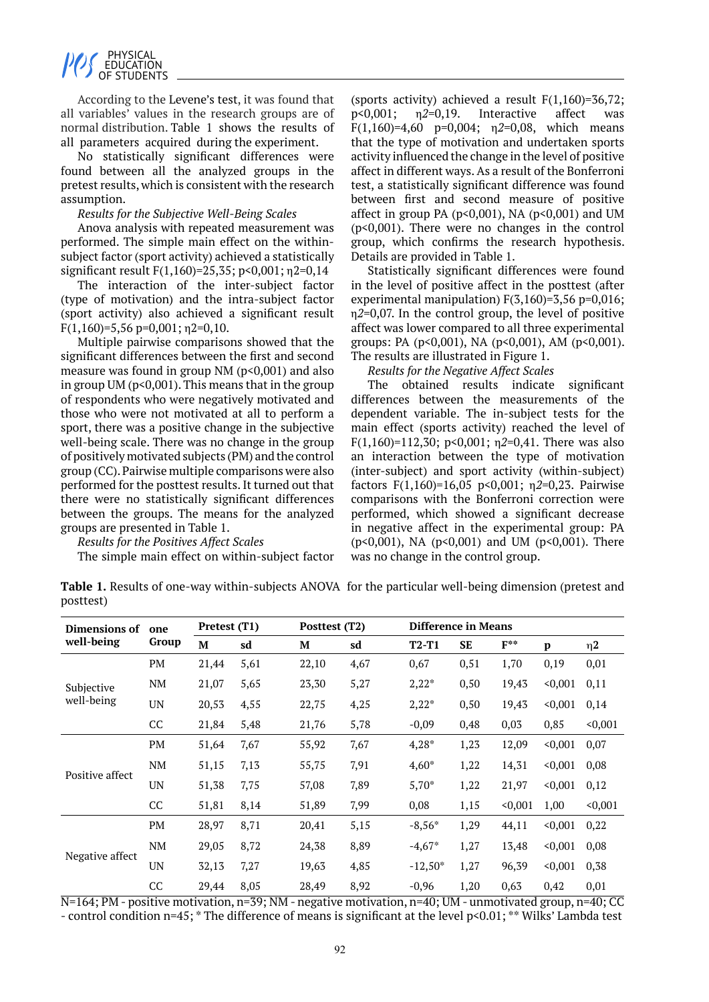

According to the Levene's test, it was found that all variables' values in the research groups are of normal distribution. Table 1 shows the results of all parameters acquired during the experiment.

No statistically significant differences were found between all the analyzed groups in the pretest results, which is consistent with the research assumption.

#### *Results for the Subjective Well-Being Scales*

Anova analysis with repeated measurement was performed. The simple main effect on the withinsubject factor (sport activity) achieved a statistically significant result F(1,160)=25,35; p<0,001; η2=0,14

The interaction of the inter-subject factor (type of motivation) and the intra-subject factor (sport activity) also achieved a significant result  $F(1,160)=5,56$  p=0,001;  $n2=0,10$ .

Multiple pairwise comparisons showed that the significant differences between the first and second measure was found in group  $NM$  ( $p<0,001$ ) and also in group UM ( $p<0,001$ ). This means that in the group of respondents who were negatively motivated and those who were not motivated at all to perform a sport, there was a positive change in the subjective well-being scale. There was no change in the group of positively motivated subjects (PM) and the control group (CC). Pairwise multiple comparisons were also performed for the posttest results. It turned out that there were no statistically significant differences between the groups. The means for the analyzed groups are presented in Table 1.

#### *Results for the Positives Affect Scales*

The simple main effect on within-subject factor

(sports activity) achieved a result  $F(1,160)=36,72$ ; p<0,001; η*2*=0,19. Interactive affect was F(1,160)=4,60 p=0,004; η*2*=0,08, which means that the type of motivation and undertaken sports activity influenced the change in the level of positive affect in different ways. As a result of the Bonferroni test, a statistically significant difference was found between first and second measure of positive affect in group PA  $(p<0,001)$ , NA  $(p<0,001)$  and UM (p<0,001). There were no changes in the control group, which confirms the research hypothesis. Details are provided in Table 1.

Statistically significant differences were found in the level of positive affect in the posttest (after experimental manipulation) F(3,160)=3,56 p=0,016; η*2*=0,07. In the control group, the level of positive affect was lower compared to all three experimental groups: PA (p<0,001), NA (p<0,001), AM (p<0,001). The results are illustrated in Figure 1.

*Results for the Negative Affect Scales*

The obtained results indicate significant differences between the measurements of the dependent variable. The in-subject tests for the main effect (sports activity) reached the level of F(1,160)=112,30; p<0,001; η*2*=0,41. There was also an interaction between the type of motivation (inter-subject) and sport activity (within-subject) factors F(1,160)=16,05 p<0,001; η*2*=0,23. Pairwise comparisons with the Bonferroni correction were performed, which showed a significant decrease in negative affect in the experimental group: PA (p<0,001), NA (p<0,001) and UM (p<0,001). There was no change in the control group.

**Table 1.** Results of one-way within-subjects ANOVA for the particular well-being dimension (pretest and posttest)

| Dimensions of            | one<br>Group | Pretest (T1) |      | Posttest (T2) |      | <b>Difference in Means</b> |           |          |         |          |
|--------------------------|--------------|--------------|------|---------------|------|----------------------------|-----------|----------|---------|----------|
| well-being               |              | M            | sd   | M             | sd   | $T2-T1$                    | <b>SE</b> | $F^{**}$ | p       | $\eta$ 2 |
| Subjective<br>well-being | PM           | 21,44        | 5,61 | 22,10         | 4,67 | 0,67                       | 0,51      | 1,70     | 0,19    | 0,01     |
|                          | NM           | 21,07        | 5,65 | 23,30         | 5,27 | $2,22*$                    | 0,50      | 19,43    | < 0,001 | 0,11     |
|                          | <b>UN</b>    | 20,53        | 4,55 | 22,75         | 4,25 | $2,22*$                    | 0,50      | 19,43    | < 0,001 | 0,14     |
|                          | CC           | 21,84        | 5,48 | 21,76         | 5,78 | $-0,09$                    | 0,48      | 0,03     | 0,85    | < 0,001  |
| Positive affect          | PM           | 51,64        | 7,67 | 55,92         | 7,67 | $4,28*$                    | 1,23      | 12,09    | < 0,001 | 0,07     |
|                          | NM           | 51,15        | 7,13 | 55,75         | 7,91 | $4,60*$                    | 1,22      | 14,31    | < 0,001 | 0,08     |
|                          | <b>UN</b>    | 51,38        | 7,75 | 57,08         | 7,89 | $5,70*$                    | 1,22      | 21,97    | < 0,001 | 0,12     |
|                          | CC           | 51,81        | 8,14 | 51,89         | 7,99 | 0,08                       | 1,15      | < 0,001  | 1,00    | < 0,001  |
| Negative affect          | PM           | 28,97        | 8,71 | 20,41         | 5,15 | $-8,56*$                   | 1,29      | 44,11    | < 0,001 | 0,22     |
|                          | NM           | 29,05        | 8,72 | 24,38         | 8,89 | $-4,67*$                   | 1,27      | 13,48    | < 0,001 | 0,08     |
|                          | UN           | 32,13        | 7,27 | 19,63         | 4,85 | $-12,50*$                  | 1,27      | 96,39    | < 0,001 | 0,38     |
|                          | CC           | 29,44        | 8,05 | 28,49         | 8,92 | $-0,96$                    | 1,20      | 0,63     | 0,42    | 0,01     |

N=164; PM - positive motivation, n=39; NM - negative motivation, n=40; UM - unmotivated group, n=40; CC - control condition n=45; \* The difference of means is significant at the level p<0.01; \*\* Wilks' Lambda test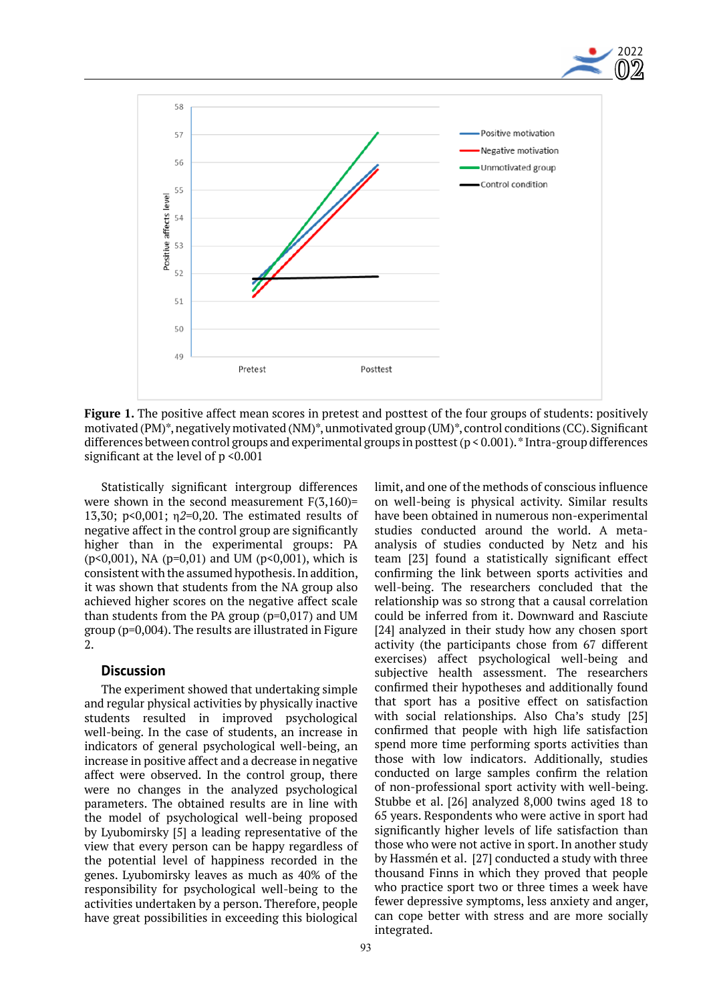



**Figure 1.** The positive affect mean scores in pretest and posttest of the four groups of students: positively motivated (PM)\*, negatively motivated (NM)\*, unmotivated group (UM)\*, control conditions (CC). Significant differences between control groups and experimental groups in posttest (p < 0.001). \* Intra-group differences significant at the level of  $p \le 0.001$ 

Statistically significant intergroup differences were shown in the second measurement  $F(3,160)$ = 13,30; p<0,001; η*2*=0,20. The estimated results of negative affect in the control group are significantly higher than in the experimental groups: PA (p<0,001), NA (p=0,01) and UM (p<0,001), which is consistent with the assumed hypothesis. In addition, it was shown that students from the NA group also achieved higher scores on the negative affect scale than students from the PA group  $(p=0,017)$  and UM group (p=0,004). The results are illustrated in Figure 2.

## **Discussion**

The experiment showed that undertaking simple and regular physical activities by physically inactive students resulted in improved psychological well-being. In the case of students, an increase in indicators of general psychological well-being, an increase in positive affect and a decrease in negative affect were observed. In the control group, there were no changes in the analyzed psychological parameters. The obtained results are in line with the model of psychological well-being proposed by Lyubomirsky [5] a leading representative of the view that every person can be happy regardless of the potential level of happiness recorded in the genes. Lyubomirsky leaves as much as 40% of the responsibility for psychological well-being to the activities undertaken by a person. Therefore, people have great possibilities in exceeding this biological limit, and one of the methods of conscious influence on well-being is physical activity. Similar results have been obtained in numerous non-experimental studies conducted around the world. A metaanalysis of studies conducted by Netz and his team [23] found a statistically significant effect confirming the link between sports activities and well-being. The researchers concluded that the relationship was so strong that a causal correlation could be inferred from it. Downward and Rasciute [24] analyzed in their study how any chosen sport activity (the participants chose from 67 different exercises) affect psychological well-being and subjective health assessment. The researchers confirmed their hypotheses and additionally found that sport has a positive effect on satisfaction with social relationships. Also Cha's study [25] confirmed that people with high life satisfaction spend more time performing sports activities than those with low indicators. Additionally, studies conducted on large samples confirm the relation of non-professional sport activity with well-being. Stubbe et al. [26] analyzed 8,000 twins aged 18 to 65 years. Respondents who were active in sport had significantly higher levels of life satisfaction than those who were not active in sport. In another study by Hassmén et al. [27] conducted a study with three thousand Finns in which they proved that people who practice sport two or three times a week have fewer depressive symptoms, less anxiety and anger, can cope better with stress and are more socially integrated.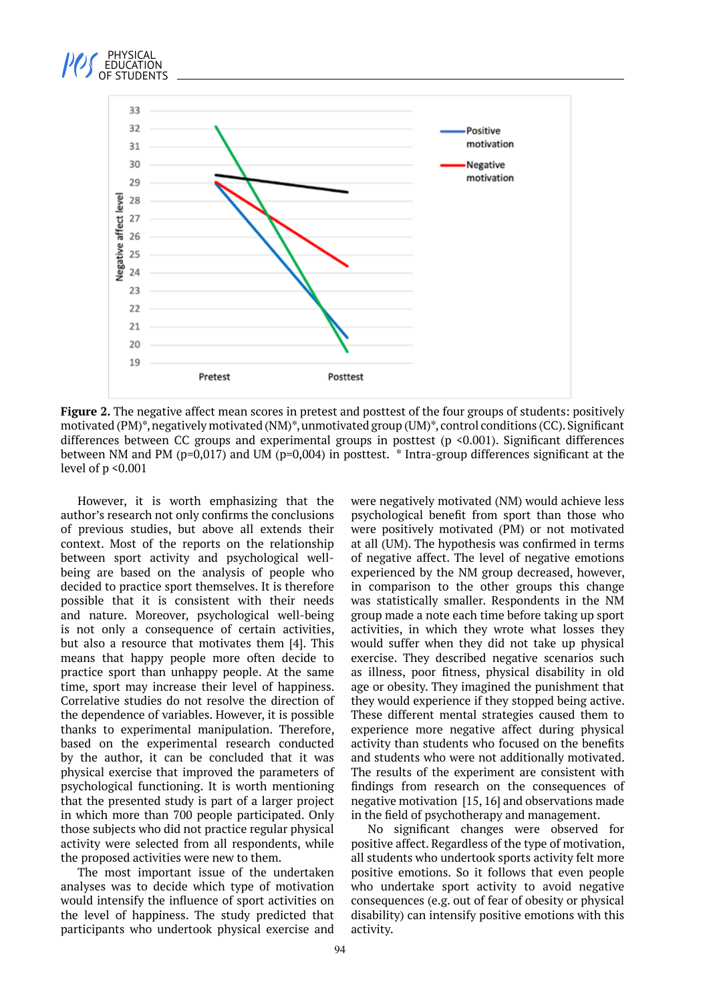



**Figure 2.** The negative affect mean scores in pretest and posttest of the four groups of students: positively motivated (PM)\*, negatively motivated (NM)\*, unmotivated group (UM)\*, control conditions (CC). Significant differences between CC groups and experimental groups in posttest (p <0.001). Significant differences between NM and PM (p=0,017) and UM (p=0,004) in posttest. \* Intra-group differences significant at the level of p <0.001

However, it is worth emphasizing that the author's research not only confirms the conclusions of previous studies, but above all extends their context. Most of the reports on the relationship between sport activity and psychological wellbeing are based on the analysis of people who decided to practice sport themselves. It is therefore possible that it is consistent with their needs and nature. Moreover, psychological well-being is not only a consequence of certain activities, but also a resource that motivates them [4]. This means that happy people more often decide to practice sport than unhappy people. At the same time, sport may increase their level of happiness. Correlative studies do not resolve the direction of the dependence of variables. However, it is possible thanks to experimental manipulation. Therefore, based on the experimental research conducted by the author, it can be concluded that it was physical exercise that improved the parameters of psychological functioning. It is worth mentioning that the presented study is part of a larger project in which more than 700 people participated. Only those subjects who did not practice regular physical activity were selected from all respondents, while the proposed activities were new to them.

The most important issue of the undertaken analyses was to decide which type of motivation would intensify the influence of sport activities on the level of happiness. The study predicted that participants who undertook physical exercise and

were negatively motivated (NM) would achieve less psychological benefit from sport than those who were positively motivated (PM) or not motivated at all (UM). The hypothesis was confirmed in terms of negative affect. The level of negative emotions experienced by the NM group decreased, however, in comparison to the other groups this change was statistically smaller. Respondents in the NM group made a note each time before taking up sport activities, in which they wrote what losses they would suffer when they did not take up physical exercise. They described negative scenarios such as illness, poor fitness, physical disability in old age or obesity. They imagined the punishment that they would experience if they stopped being active. These different mental strategies caused them to experience more negative affect during physical activity than students who focused on the benefits and students who were not additionally motivated. The results of the experiment are consistent with findings from research on the consequences of negative motivation [15, 16] and observations made in the field of psychotherapy and management.

No significant changes were observed for positive affect. Regardless of the type of motivation, all students who undertook sports activity felt more positive emotions. So it follows that even people who undertake sport activity to avoid negative consequences (e.g. out of fear of obesity or physical disability) can intensify positive emotions with this activity.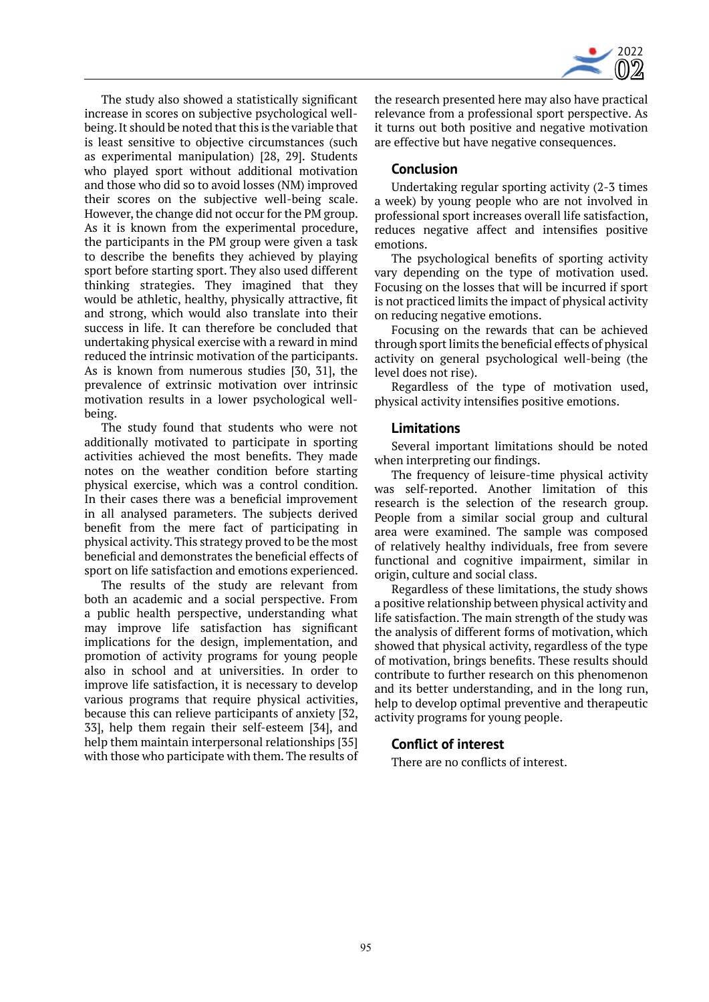

The study also showed a statistically significant increase in scores on subjective psychological wellbeing. It should be noted that this is the variable that is least sensitive to objective circumstances (such as experimental manipulation) [28, 29]. Students who played sport without additional motivation and those who did so to avoid losses (NM) improved their scores on the subjective well-being scale. However, the change did not occur for the PM group. As it is known from the experimental procedure, the participants in the PM group were given a task to describe the benefits they achieved by playing sport before starting sport. They also used different thinking strategies. They imagined that they would be athletic, healthy, physically attractive, fit and strong, which would also translate into their success in life. It can therefore be concluded that undertaking physical exercise with a reward in mind reduced the intrinsic motivation of the participants. As is known from numerous studies [30, 31], the prevalence of extrinsic motivation over intrinsic motivation results in a lower psychological wellbeing.

The study found that students who were not additionally motivated to participate in sporting activities achieved the most benefits. They made notes on the weather condition before starting physical exercise, which was a control condition. In their cases there was a beneficial improvement in all analysed parameters. The subjects derived benefit from the mere fact of participating in physical activity. This strategy proved to be the most beneficial and demonstrates the beneficial effects of sport on life satisfaction and emotions experienced.

The results of the study are relevant from both an academic and a social perspective. From a public health perspective, understanding what may improve life satisfaction has significant implications for the design, implementation, and promotion of activity programs for young people also in school and at universities. In order to improve life satisfaction, it is necessary to develop various programs that require physical activities, because this can relieve participants of anxiety [32, 33], help them regain their self-esteem [34], and help them maintain interpersonal relationships [35] with those who participate with them. The results of

the research presented here may also have practical relevance from a professional sport perspective. As it turns out both positive and negative motivation are effective but have negative consequences.

## **Conclusion**

Undertaking regular sporting activity (2-3 times a week) by young people who are not involved in professional sport increases overall life satisfaction, reduces negative affect and intensifies positive emotions.

The psychological benefits of sporting activity vary depending on the type of motivation used. Focusing on the losses that will be incurred if sport is not practiced limits the impact of physical activity on reducing negative emotions.

Focusing on the rewards that can be achieved through sport limits the beneficial effects of physical activity on general psychological well-being (the level does not rise).

Regardless of the type of motivation used, physical activity intensifies positive emotions.

#### **Limitations**

Several important limitations should be noted when interpreting our findings.

The frequency of leisure-time physical activity was self-reported. Another limitation of this research is the selection of the research group. People from a similar social group and cultural area were examined. The sample was composed of relatively healthy individuals, free from severe functional and cognitive impairment, similar in origin, culture and social class.

Regardless of these limitations, the study shows a positive relationship between physical activity and life satisfaction. The main strength of the study was the analysis of different forms of motivation, which showed that physical activity, regardless of the type of motivation, brings benefits. These results should contribute to further research on this phenomenon and its better understanding, and in the long run, help to develop optimal preventive and therapeutic activity programs for young people.

#### **Conflict of interest**

There are no conflicts of interest.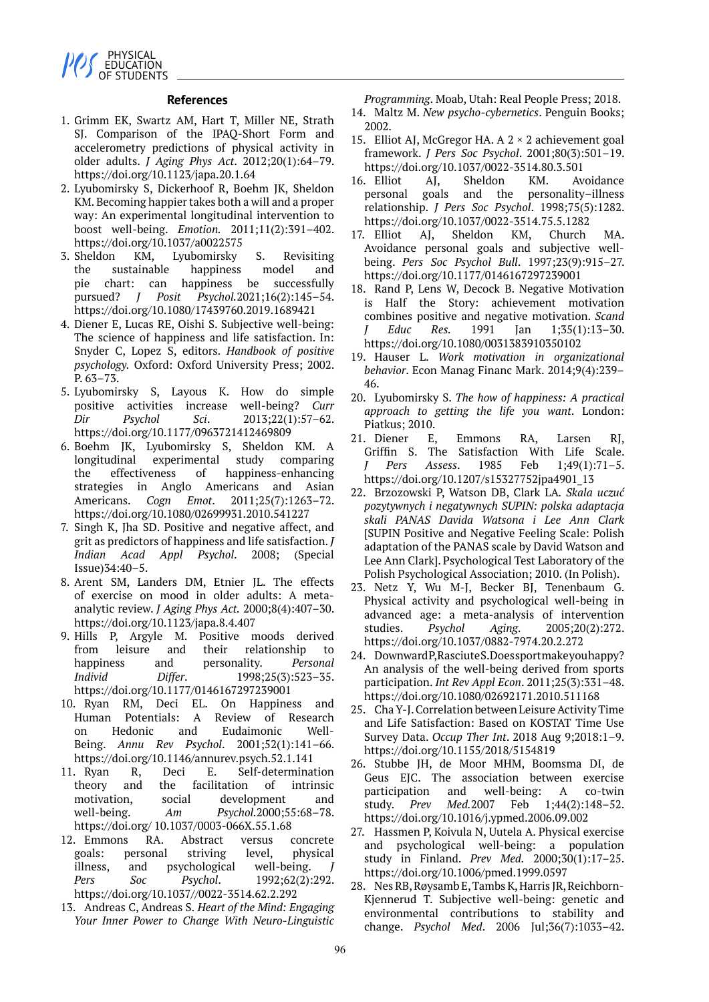

#### **References**

- 1. Grimm EK, Swartz AM, Hart T, Miller NE, Strath SJ. Comparison of the IPAQ-Short Form and accelerometry predictions of physical activity in older adults. *J Aging Phys Act*. 2012;20(1):64–79. https://doi.org/10.1123/japa.20.1.64
- 2. Lyubomirsky S, Dickerhoof R, Boehm JK, Sheldon KM. Becoming happier takes both a will and a proper way: An experimental longitudinal intervention to boost well-being. *Emotion.* 2011;11(2):391–402. https://doi.org/10.1037/a0022575
- 3. Sheldon KM, Lyubomirsky S. Revisiting the sustainable happiness model and pie chart: can happiness be successfully pursued? *J Posit Psychol.*2021;16(2):145–54. https://doi.org/10.1080/17439760.2019.1689421
- 4. Diener E, Lucas RE, Oishi S. Subjective well-being: The science of happiness and life satisfaction. In: Snyder C, Lopez S, editors. *Handbook of positive psychology.* Oxford: Oxford University Press; 2002. P. 63–73.
- 5. Lyubomirsky S, Layous K. How do simple positive activities increase well-being? *Curr Dir Psychol Sci*. 2013;22(1):57–62. https://doi.org/10.1177/0963721412469809
- 6. Boehm JK, Lyubomirsky S, Sheldon KM. A longitudinal experimental study comparing the effectiveness of happiness-enhancing strategies in Anglo Americans and Asian Americans. *Cogn Emot*. 2011;25(7):1263–72. https://doi.org/10.1080/02699931.2010.541227
- 7. Singh K, Jha SD. Positive and negative affect, and grit as predictors of happiness and life satisfaction. *J Indian Acad Appl Psychol*. 2008; (Special Issue)34:40–5.
- 8. Arent SM, Landers DM, Etnier JL. The effects of exercise on mood in older adults: A metaanalytic review. *J Aging Phys Act.* 2000;8(4):407–30. https://doi.org/10.1123/japa.8.4.407
- 9. Hills P, Argyle M. Positive moods derived from leisure and their relationship to happiness and personality. *Personal Individ Differ*. 1998;25(3):523–35. https://doi.org/10.1177/0146167297239001
- 10. Ryan RM, Deci EL. On Happiness and Human Potentials: A Review of Research on Hedonic and Eudaimonic Well-Being. *Annu Rev Psychol*. 2001;52(1):141–66. https://doi.org/10.1146/annurev.psych.52.1.141
- 11. Ryan R, Deci E. Self-determination theory and the facilitation of intrinsic motivation, social development and well-being. *Am Psychol.*2000;55:68–78. https://doi.org/ 10.1037/0003-066X.55.1.68
- 12. Emmons RA. Abstract versus concrete goals: personal striving level, physical illness, and psychological well-being. *Pers Soc Psychol*. 1992;62(2):292. https://doi.org/10.1037//0022-3514.62.2.292
- 13. Andreas C, Andreas S. *Heart of the Mind: Engaging Your Inner Power to Change With Neuro-Linguistic*

*Programming*. Moab, Utah: Real People Press; 2018.

- 14. Maltz M. *New psycho-cybernetics*. Penguin Books; 2002.
- 15. Elliot AJ, McGregor HA, A  $2 \times 2$  achievement goal framework. *J Pers Soc Psychol*. 2001;80(3):501–19. https://doi.org/10.1037/0022-3514.80.3.501
- 16. Elliot AJ, Sheldon KM. Avoidance personal goals and the personality–illness relationship. *J Pers Soc Psychol*. 1998;75(5):1282. https://doi.org/10.1037/0022-3514.75.5.1282
- 17. Elliot AJ, Sheldon KM, Church MA. Avoidance personal goals and subjective wellbeing. *Pers Soc Psychol Bull*. 1997;23(9):915–27. https://doi.org/10.1177/0146167297239001
- 18. Rand P, Lens W, Decock B. Negative Motivation is Half the Story: achievement motivation combines positive and negative motivation. *Scand J Educ Res.* 1991 Jan 1;35(1):13–30. https://doi.org/10.1080/0031383910350102
- 19. Hauser L. *Work motivation in organizational behavior*. Econ Manag Financ Mark. 2014;9(4):239– 46.
- 20. Lyubomirsky S. *The how of happiness: A practical approach to getting the life you want*. London: Piatkus; 2010.
- 21. Diener E, Emmons RA, Larsen RJ, Griffin S. The Satisfaction With Life Scale. *J Pers Assess*. 1985 Feb 1;49(1):71–5. https://doi.org/10.1207/s15327752jpa4901\_13
- 22. Brzozowski P, Watson DB, Clark LA*. Skala uczuć pozytywnych i negatywnych SUPIN: polska adaptacja skali PANAS Davida Watsona i Lee Ann Clark* [SUPIN Positive and Negative Feeling Scale: Polish adaptation of the PANAS scale by David Watson and Lee Ann Clark]. Psychological Test Laboratory of the Polish Psychological Association; 2010. (In Polish).
- 23. Netz Y, Wu M-J, Becker BJ, Tenenbaum G. Physical activity and psychological well-being in advanced age: a meta-analysis of intervention studies. *Psychol Aging*. 2005;20(2):272. https://doi.org/10.1037/0882-7974.20.2.272
- 24. Downward P, Rasciute S. Doessport make you happy? An analysis of the well-being derived from sports participation. *Int Rev Appl Econ*. 2011;25(3):331–48. https://doi.org/10.1080/02692171.2010.511168
- 25. Cha Y-J. Correlation between Leisure Activity Time and Life Satisfaction: Based on KOSTAT Time Use Survey Data. *Occup Ther Int*. 2018 Aug 9;2018:1–9. https://doi.org/10.1155/2018/5154819
- 26. Stubbe JH, de Moor MHM, Boomsma DI, de Geus EJC. The association between exercise participation and well-being: A co-twin study. *Prev Med.*2007 Feb 1;44(2):148–52. https://doi.org/10.1016/j.ypmed.2006.09.002
- 27. Hassmen P, Koivula N, Uutela A. Physical exercise and psychological well-being: a population study in Finland. *Prev Med.* 2000;30(1):17–25. https://doi.org/10.1006/pmed.1999.0597
- 28. Nes RB, Røysamb E, Tambs K, Harris JR, Reichborn-Kjennerud T. Subjective well-being: genetic and environmental contributions to stability and change. *Psychol Med*. 2006 Jul;36(7):1033–42.